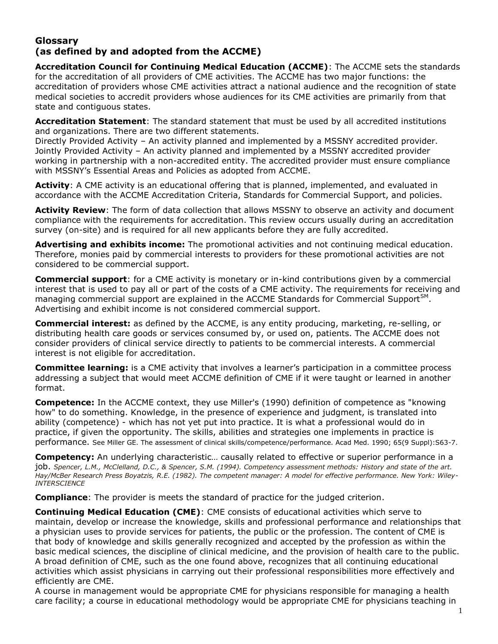## **Glossary (as defined by and adopted from the ACCME)**

**Accreditation Council for Continuing Medical Education (ACCME)**: The ACCME sets the standards for the accreditation of all providers of CME activities. The ACCME has two major functions: the accreditation of providers whose CME activities attract a national audience and the recognition of state medical societies to accredit providers whose audiences for its CME activities are primarily from that state and contiguous states.

**Accreditation Statement**: The standard statement that must be used by all accredited institutions and organizations. There are two different statements.

Directly Provided Activity – An activity planned and implemented by a MSSNY accredited provider. Jointly Provided Activity – An activity planned and implemented by a MSSNY accredited provider working in partnership with a non-accredited entity. The accredited provider must ensure compliance with MSSNY's Essential Areas and Policies as adopted from ACCME.

**Activity**: A CME activity is an educational offering that is planned, implemented, and evaluated in accordance with the ACCME Accreditation Criteria, Standards for Commercial Support, and policies.

**Activity Review**: The form of data collection that allows MSSNY to observe an activity and document compliance with the requirements for accreditation. This review occurs usually during an accreditation survey (on-site) and is required for all new applicants before they are fully accredited.

**Advertising and exhibits income:** The promotional activities and not continuing medical education. Therefore, monies paid by commercial interests to providers for these promotional activities are not considered to be commercial support.

**Commercial support**: for a CME activity is monetary or in-kind contributions given by a commercial interest that is used to pay all or part of the costs of a CME activity. The requirements for receiving and managing commercial support are explained in the ACCME Standards for Commercial Support<sup>SM</sup>. Advertising and exhibit income is not considered commercial support.

**Commercial interest:** as defined by the ACCME, is any entity producing, marketing, re-selling, or distributing health care goods or services consumed by, or used on, patients. The ACCME does not consider providers of clinical service directly to patients to be commercial interests. A commercial interest is not eligible for accreditation.

**Committee learning:** is a CME activity that involves a learner's participation in a committee process addressing a subject that would meet ACCME definition of CME if it were taught or learned in another format.

**Competence:** In the ACCME context, they use Miller's (1990) definition of competence as "knowing how" to do something. Knowledge, in the presence of experience and judgment, is translated into ability (competence) - which has not yet put into practice. It is what a professional would do in practice, if given the opportunity. The skills, abilities and strategies one implements in practice is performance. See Miller GE. The assessment of clinical skills/competence/performance. Acad Med. 1990; 65(9 Suppl):S63-7.

**Competency:** An underlying characteristic… causally related to effective or superior performance in a job. *Spencer, L.M., McClelland, D.C., & Spencer, S.M. (1994). Competency assessment methods: History and state of the art. Hay/McBer Research Press Boyatzis, R.E. (1982). The competent manager: A model for effective performance. New York: Wiley-INTERSCIENCE*

**Compliance**: The provider is meets the standard of practice for the judged criterion.

**Continuing Medical Education (CME)**: CME consists of educational activities which serve to maintain, develop or increase the knowledge, skills and professional performance and relationships that a physician uses to provide services for patients, the public or the profession. The content of CME is that body of knowledge and skills generally recognized and accepted by the profession as within the basic medical sciences, the discipline of clinical medicine, and the provision of health care to the public. A broad definition of CME, such as the one found above, recognizes that all continuing educational activities which assist physicians in carrying out their professional responsibilities more effectively and efficiently are CME.

A course in management would be appropriate CME for physicians responsible for managing a health care facility; a course in educational methodology would be appropriate CME for physicians teaching in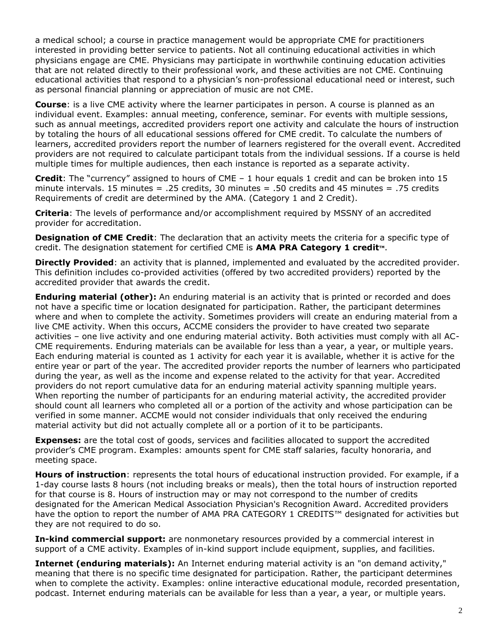a medical school; a course in practice management would be appropriate CME for practitioners interested in providing better service to patients. Not all continuing educational activities in which physicians engage are CME. Physicians may participate in worthwhile continuing education activities that are not related directly to their professional work, and these activities are not CME. Continuing educational activities that respond to a physician's non-professional educational need or interest, such as personal financial planning or appreciation of music are not CME.

**Course**: is a live CME activity where the learner participates in person. A course is planned as an individual event. Examples: annual meeting, conference, seminar. For events with multiple sessions, such as annual meetings, accredited providers report one activity and calculate the hours of instruction by totaling the hours of all educational sessions offered for CME credit. To calculate the numbers of learners, accredited providers report the number of learners registered for the overall event. Accredited providers are not required to calculate participant totals from the individual sessions. If a course is held multiple times for multiple audiences, then each instance is reported as a separate activity.

**Credit**: The "currency" assigned to hours of CME – 1 hour equals 1 credit and can be broken into 15 minute intervals. 15 minutes = .25 credits, 30 minutes = .50 credits and 45 minutes = .75 credits Requirements of credit are determined by the AMA. (Category 1 and 2 Credit).

**Criteria**: The levels of performance and/or accomplishment required by MSSNY of an accredited provider for accreditation.

**Designation of CME Credit**: The declaration that an activity meets the criteria for a specific type of credit. The designation statement for certified CME is **AMA PRA Category 1 credit**™.

**Directly Provided**: an activity that is planned, implemented and evaluated by the accredited provider. This definition includes co-provided activities (offered by two accredited providers) reported by the accredited provider that awards the credit.

**Enduring material (other):** An enduring material is an activity that is printed or recorded and does not have a specific time or location designated for participation. Rather, the participant determines where and when to complete the activity. Sometimes providers will create an enduring material from a live CME activity. When this occurs, ACCME considers the provider to have created two separate activities – one live activity and one enduring material activity. Both activities must comply with all AC-CME requirements. Enduring materials can be available for less than a year, a year, or multiple years. Each enduring material is counted as 1 activity for each year it is available, whether it is active for the entire year or part of the year. The accredited provider reports the number of learners who participated during the year, as well as the income and expense related to the activity for that year. Accredited providers do not report cumulative data for an enduring material activity spanning multiple years. When reporting the number of participants for an enduring material activity, the accredited provider should count all learners who completed all or a portion of the activity and whose participation can be verified in some manner. ACCME would not consider individuals that only received the enduring material activity but did not actually complete all or a portion of it to be participants.

**Expenses:** are the total cost of goods, services and facilities allocated to support the accredited provider's CME program. Examples: amounts spent for CME staff salaries, faculty honoraria, and meeting space.

**Hours of instruction**: represents the total hours of educational instruction provided. For example, if a 1-day course lasts 8 hours (not including breaks or meals), then the total hours of instruction reported for that course is 8. Hours of instruction may or may not correspond to the number of credits designated for the American Medical Association Physician's Recognition Award. Accredited providers have the option to report the number of AMA PRA CATEGORY 1 CREDITS™ designated for activities but they are not required to do so.

**In-kind commercial support:** are nonmonetary resources provided by a commercial interest in support of a CME activity. Examples of in-kind support include equipment, supplies, and facilities.

**Internet (enduring materials):** An Internet enduring material activity is an "on demand activity," meaning that there is no specific time designated for participation. Rather, the participant determines when to complete the activity. Examples: online interactive educational module, recorded presentation, podcast. Internet enduring materials can be available for less than a year, a year, or multiple years.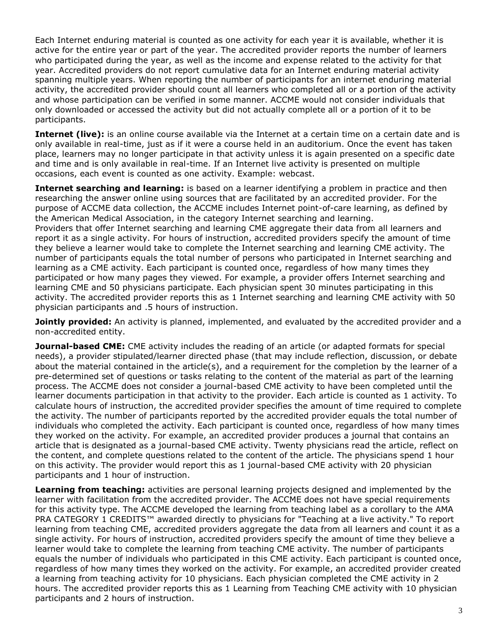Each Internet enduring material is counted as one activity for each year it is available, whether it is active for the entire year or part of the year. The accredited provider reports the number of learners who participated during the year, as well as the income and expense related to the activity for that year. Accredited providers do not report cumulative data for an Internet enduring material activity spanning multiple years. When reporting the number of participants for an internet enduring material activity, the accredited provider should count all learners who completed all or a portion of the activity and whose participation can be verified in some manner. ACCME would not consider individuals that only downloaded or accessed the activity but did not actually complete all or a portion of it to be participants.

**Internet (live):** is an online course available via the Internet at a certain time on a certain date and is only available in real-time, just as if it were a course held in an auditorium. Once the event has taken place, learners may no longer participate in that activity unless it is again presented on a specific date and time and is only available in real-time. If an Internet live activity is presented on multiple occasions, each event is counted as one activity. Example: webcast.

**Internet searching and learning:** is based on a learner identifying a problem in practice and then researching the answer online using sources that are facilitated by an accredited provider. For the purpose of ACCME data collection, the ACCME includes Internet point-of-care learning, as defined by the American Medical Association, in the category Internet searching and learning. Providers that offer Internet searching and learning CME aggregate their data from all learners and report it as a single activity. For hours of instruction, accredited providers specify the amount of time they believe a learner would take to complete the Internet searching and learning CME activity. The number of participants equals the total number of persons who participated in Internet searching and learning as a CME activity. Each participant is counted once, regardless of how many times they participated or how many pages they viewed. For example, a provider offers Internet searching and learning CME and 50 physicians participate. Each physician spent 30 minutes participating in this activity. The accredited provider reports this as 1 Internet searching and learning CME activity with 50 physician participants and .5 hours of instruction.

Jointly provided: An activity is planned, implemented, and evaluated by the accredited provider and a non-accredited entity.

**Journal-based CME:** CME activity includes the reading of an article (or adapted formats for special needs), a provider stipulated/learner directed phase (that may include reflection, discussion, or debate about the material contained in the article(s), and a requirement for the completion by the learner of a pre-determined set of questions or tasks relating to the content of the material as part of the learning process. The ACCME does not consider a journal-based CME activity to have been completed until the learner documents participation in that activity to the provider. Each article is counted as 1 activity. To calculate hours of instruction, the accredited provider specifies the amount of time required to complete the activity. The number of participants reported by the accredited provider equals the total number of individuals who completed the activity. Each participant is counted once, regardless of how many times they worked on the activity. For example, an accredited provider produces a journal that contains an article that is designated as a journal-based CME activity. Twenty physicians read the article, reflect on the content, and complete questions related to the content of the article. The physicians spend 1 hour on this activity. The provider would report this as 1 journal-based CME activity with 20 physician participants and 1 hour of instruction.

**Learning from teaching:** activities are personal learning projects designed and implemented by the learner with facilitation from the accredited provider. The ACCME does not have special requirements for this activity type. The ACCME developed the learning from teaching label as a corollary to the AMA PRA CATEGORY 1 CREDITS™ awarded directly to physicians for "Teaching at a live activity." To report learning from teaching CME, accredited providers aggregate the data from all learners and count it as a single activity. For hours of instruction, accredited providers specify the amount of time they believe a learner would take to complete the learning from teaching CME activity. The number of participants equals the number of individuals who participated in this CME activity. Each participant is counted once, regardless of how many times they worked on the activity. For example, an accredited provider created a learning from teaching activity for 10 physicians. Each physician completed the CME activity in 2 hours. The accredited provider reports this as 1 Learning from Teaching CME activity with 10 physician participants and 2 hours of instruction.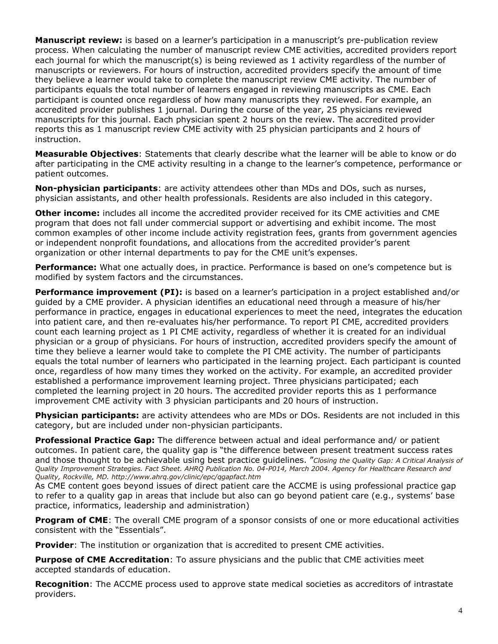**Manuscript review:** is based on a learner's participation in a manuscript's pre-publication review process. When calculating the number of manuscript review CME activities, accredited providers report each journal for which the manuscript(s) is being reviewed as 1 activity regardless of the number of manuscripts or reviewers. For hours of instruction, accredited providers specify the amount of time they believe a learner would take to complete the manuscript review CME activity. The number of participants equals the total number of learners engaged in reviewing manuscripts as CME. Each participant is counted once regardless of how many manuscripts they reviewed. For example, an accredited provider publishes 1 journal. During the course of the year, 25 physicians reviewed manuscripts for this journal. Each physician spent 2 hours on the review. The accredited provider reports this as 1 manuscript review CME activity with 25 physician participants and 2 hours of instruction.

**Measurable Objectives**: Statements that clearly describe what the learner will be able to know or do after participating in the CME activity resulting in a change to the learner's competence, performance or patient outcomes.

**Non-physician participants**: are activity attendees other than MDs and DOs, such as nurses, physician assistants, and other health professionals. Residents are also included in this category.

**Other income:** includes all income the accredited provider received for its CME activities and CME program that does not fall under commercial support or advertising and exhibit income. The most common examples of other income include activity registration fees, grants from government agencies or independent nonprofit foundations, and allocations from the accredited provider's parent organization or other internal departments to pay for the CME unit's expenses.

**Performance:** What one actually does, in practice. Performance is based on one's competence but is modified by system factors and the circumstances.

**Performance improvement (PI):** is based on a learner's participation in a project established and/or guided by a CME provider. A physician identifies an educational need through a measure of his/her performance in practice, engages in educational experiences to meet the need, integrates the education into patient care, and then re-evaluates his/her performance. To report PI CME, accredited providers count each learning project as 1 PI CME activity, regardless of whether it is created for an individual physician or a group of physicians. For hours of instruction, accredited providers specify the amount of time they believe a learner would take to complete the PI CME activity. The number of participants equals the total number of learners who participated in the learning project. Each participant is counted once, regardless of how many times they worked on the activity. For example, an accredited provider established a performance improvement learning project. Three physicians participated; each completed the learning project in 20 hours. The accredited provider reports this as 1 performance improvement CME activity with 3 physician participants and 20 hours of instruction.

**Physician participants:** are activity attendees who are MDs or DOs. Residents are not included in this category, but are included under non-physician participants.

**Professional Practice Gap:** The difference between actual and ideal performance and/ or patient outcomes. In patient care, the quality gap is "the difference between present treatment success rates and those thought to be achievable using best practice guidelines. "*Closing the Quality Gap: A Critical Analysis of Quality Improvement Strategies. Fact Sheet. AHRQ Publication No. 04-P014, March 2004. Agency for Healthcare Research and Quality, Rockville, MD. http://www.ahrq.gov/clinic/epc/qgapfact.htm*

As CME content goes beyond issues of direct patient care the ACCME is using professional practice gap to refer to a quality gap in areas that include but also can go beyond patient care (e.g., systems' base practice, informatics, leadership and administration)

**Program of CME**: The overall CME program of a sponsor consists of one or more educational activities consistent with the "Essentials".

**Provider**: The institution or organization that is accredited to present CME activities.

**Purpose of CME Accreditation**: To assure physicians and the public that CME activities meet accepted standards of education.

**Recognition**: The ACCME process used to approve state medical societies as accreditors of intrastate providers.